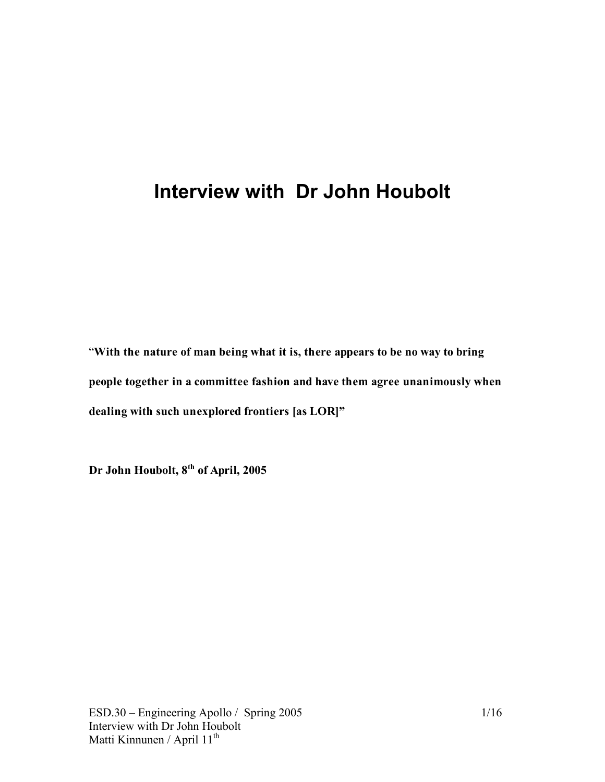# **Interview with Dr John Houbolt**

"**With the nature of man being what it is, there appears to be no way to bring people together in a committee fashion and have them agree unanimously when dealing with such unexplored frontiers [as LOR]"**

**Dr John Houbolt, 8th of April, 2005**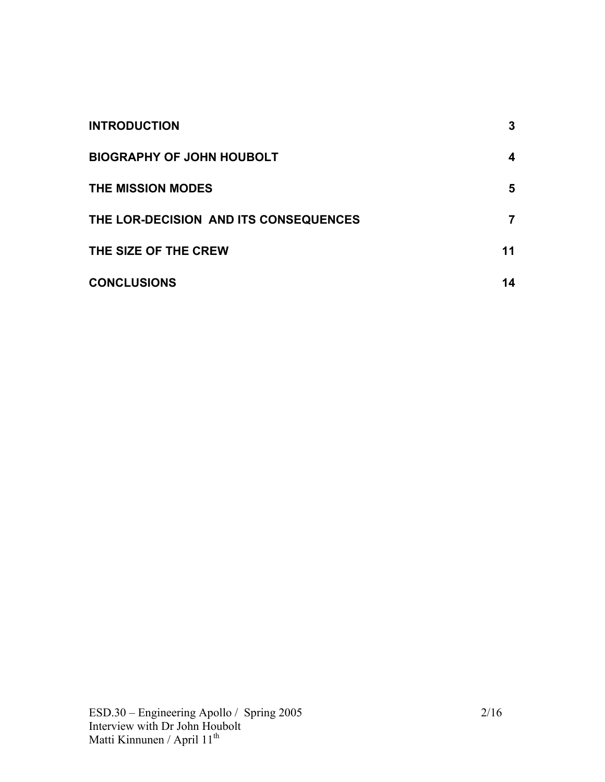| <b>INTRODUCTION</b>                   | 3  |
|---------------------------------------|----|
| <b>BIOGRAPHY OF JOHN HOUBOLT</b>      | 4  |
| <b>THE MISSION MODES</b>              | 5  |
| THE LOR-DECISION AND ITS CONSEQUENCES | 7  |
| THE SIZE OF THE CREW                  | 11 |
| <b>CONCLUSIONS</b>                    | 14 |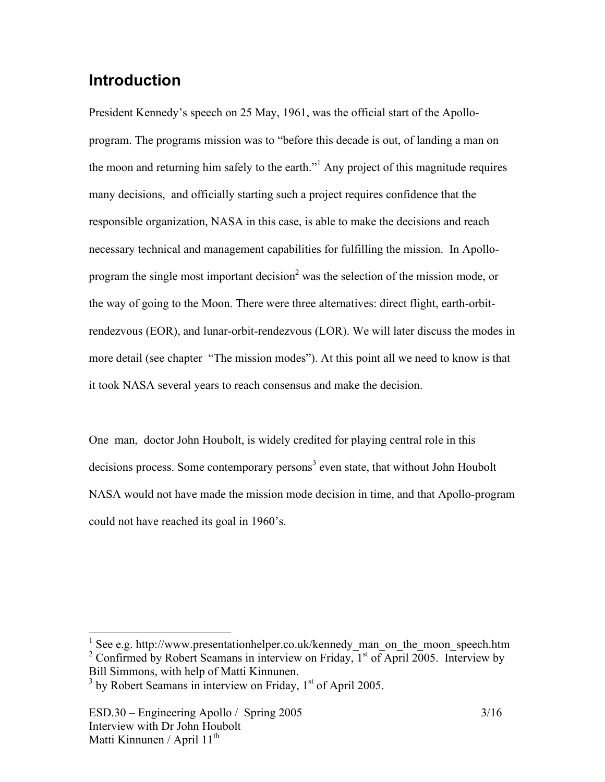# **Introduction**

President Kennedy's speech on 25 May, 1961, was the official start of the Apolloprogram. The programs mission was to "before this decade is out, of landing a man on the moon and returning him safely to the earth."<sup>1</sup> Any project of this magnitude requires many decisions, and officially starting such a project requires confidence that the responsible organization, NASA in this case, is able to make the decisions and reach necessary technical and management capabilities for fulfilling the mission. In Apolloprogram the single most important decision<sup>2</sup> was the selection of the mission mode, or the way of going to the Moon. There were three alternatives: direct flight, earth-orbitrendezvous (EOR), and lunar-orbit-rendezvous (LOR). We will later discuss the modes in more detail (see chapter "The mission modes"). At this point all we need to know is that it took NASA several years to reach consensus and make the decision.

One man, doctor John Houbolt, is widely credited for playing central role in this decisions process. Some contemporary persons<sup>3</sup> even state, that without John Houbolt NASA would not have made the mission mode decision in time, and that Apollo-program could not have reached its goal in 1960's.

<sup>&</sup>lt;sup>1</sup> See e.g. http://www.presentationhelper.co.uk/kennedy\_man\_on\_the\_moon\_speech.htm <sup>2</sup> Confirmed by Robert Seamans in interview on Friday,  $1<sup>st</sup>$  of April 2005. Interview by Bill Simmons, with help of Matti Kinnunen.

 $3$  by Robert Seamans in interview on Friday,  $1<sup>st</sup>$  of April 2005.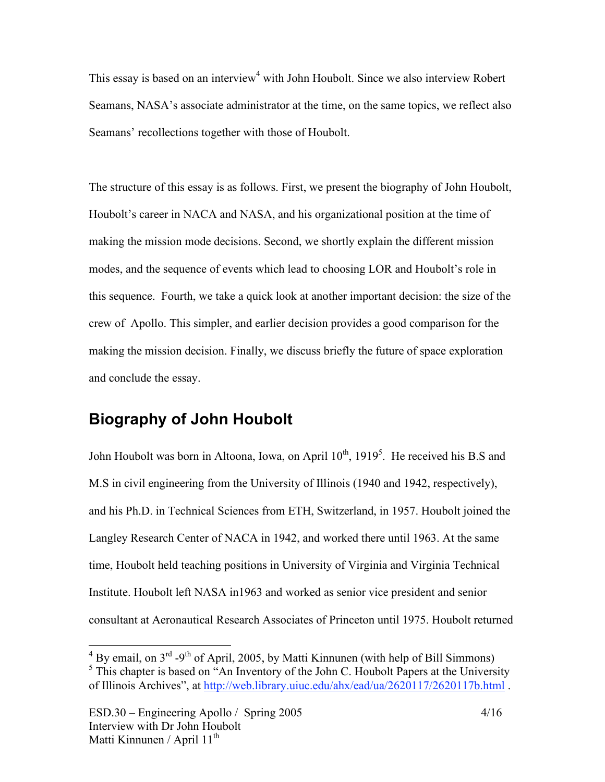This essay is based on an interview<sup>4</sup> with John Houbolt. Since we also interview Robert Seamans, NASA's associate administrator at the time, on the same topics, we reflect also Seamans' recollections together with those of Houbolt.

The structure of this essay is as follows. First, we present the biography of John Houbolt, Houbolt's career in NACA and NASA, and his organizational position at the time of making the mission mode decisions. Second, we shortly explain the different mission modes, and the sequence of events which lead to choosing LOR and Houbolt's role in this sequence. Fourth, we take a quick look at another important decision: the size of the crew of Apollo. This simpler, and earlier decision provides a good comparison for the making the mission decision. Finally, we discuss briefly the future of space exploration and conclude the essay.

# **Biography of John Houbolt**

John Houbolt was born in Altoona, Iowa, on April  $10^{th}$ , 1919<sup>5</sup>. He received his B.S and M.S in civil engineering from the University of Illinois (1940 and 1942, respectively), and his Ph.D. in Technical Sciences from ETH, Switzerland, in 1957. Houbolt joined the Langley Research Center of NACA in 1942, and worked there until 1963. At the same time, Houbolt held teaching positions in University of Virginia and Virginia Technical Institute. Houbolt left NASA in1963 and worked as senior vice president and senior consultant at Aeronautical Research Associates of Princeton until 1975. Houbolt returned

 $^{4}$  By email, on 3<sup>rd</sup> -9<sup>th</sup> of April, 2005, by Matti Kinnunen (with help of Bill Simmons)

 $<sup>5</sup>$  This chapter is based on "An Inventory of the John C. Houbolt Papers at the University</sup> of Illinois Archives", at http://web.library.uiuc.edu/ahx/ead/ua/2620117/2620117b.html .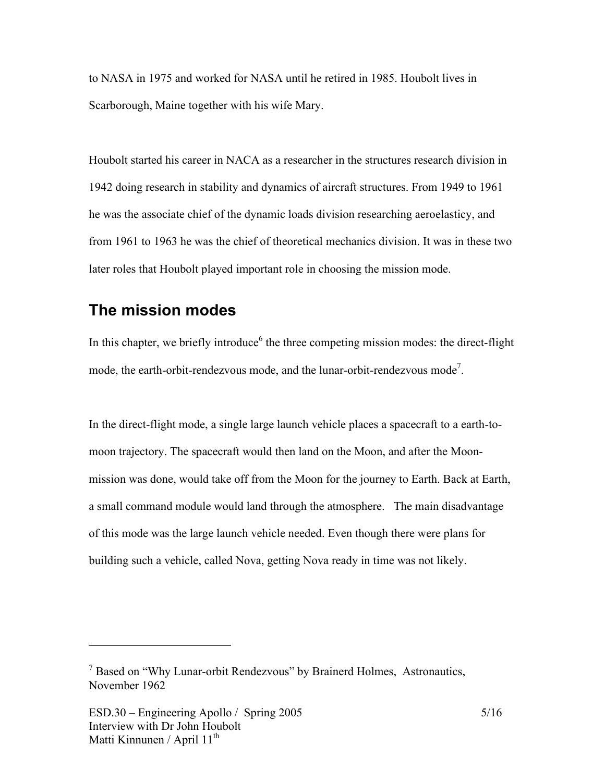to NASA in 1975 and worked for NASA until he retired in 1985. Houbolt lives in Scarborough, Maine together with his wife Mary.

Houbolt started his career in NACA as a researcher in the structures research division in 1942 doing research in stability and dynamics of aircraft structures. From 1949 to 1961 he was the associate chief of the dynamic loads division researching aeroelasticy, and from 1961 to 1963 he was the chief of theoretical mechanics division. It was in these two later roles that Houbolt played important role in choosing the mission mode.

## **The mission modes**

In this chapter, we briefly introduce<sup>6</sup> the three competing mission modes: the direct-flight mode, the earth-orbit-rendezvous mode, and the lunar-orbit-rendezvous mode<sup>7</sup>.

In the direct-flight mode, a single large launch vehicle places a spacecraft to a earth-tomoon trajectory. The spacecraft would then land on the Moon, and after the Moonmission was done, would take off from the Moon for the journey to Earth. Back at Earth, a small command module would land through the atmosphere. The main disadvantage of this mode was the large launch vehicle needed. Even though there were plans for building such a vehicle, called Nova, getting Nova ready in time was not likely.

 $\overline{a}$ 

 $<sup>7</sup>$  Based on "Why Lunar-orbit Rendezvous" by Brainerd Holmes, Astronautics,</sup> November 1962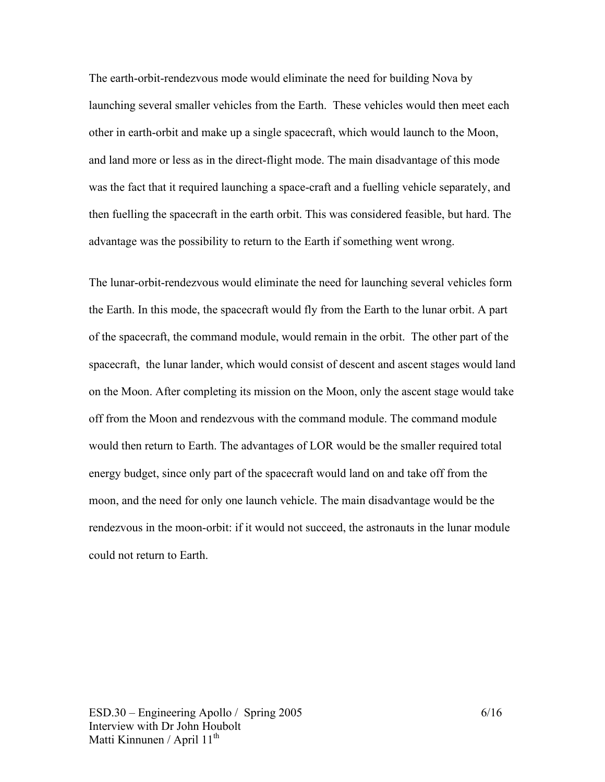The earth-orbit-rendezvous mode would eliminate the need for building Nova by launching several smaller vehicles from the Earth. These vehicles would then meet each other in earth-orbit and make up a single spacecraft, which would launch to the Moon, and land more or less as in the direct-flight mode. The main disadvantage of this mode was the fact that it required launching a space-craft and a fuelling vehicle separately, and then fuelling the spacecraft in the earth orbit. This was considered feasible, but hard. The advantage was the possibility to return to the Earth if something went wrong.

The lunar-orbit-rendezvous would eliminate the need for launching several vehicles form the Earth. In this mode, the spacecraft would fly from the Earth to the lunar orbit. A part of the spacecraft, the command module, would remain in the orbit. The other part of the spacecraft, the lunar lander, which would consist of descent and ascent stages would land on the Moon. After completing its mission on the Moon, only the ascent stage would take off from the Moon and rendezvous with the command module. The command module would then return to Earth. The advantages of LOR would be the smaller required total energy budget, since only part of the spacecraft would land on and take off from the moon, and the need for only one launch vehicle. The main disadvantage would be the rendezvous in the moon-orbit: if it would not succeed, the astronauts in the lunar module could not return to Earth.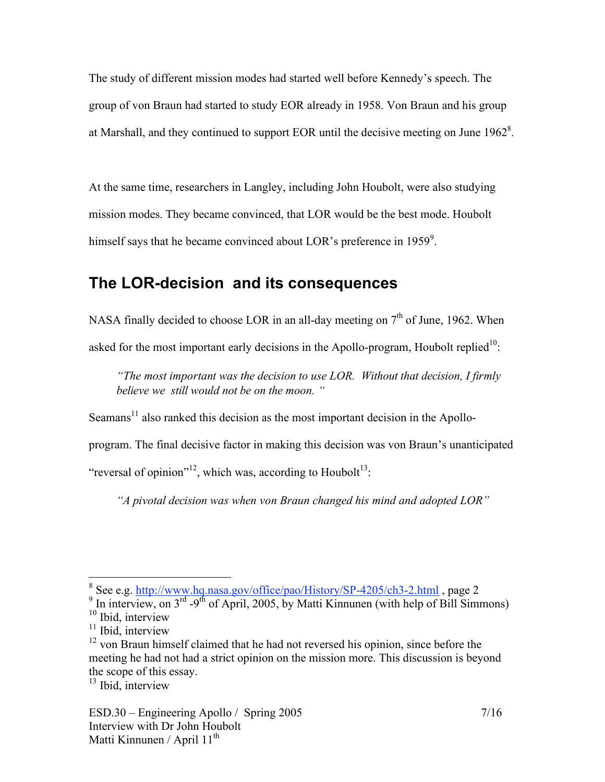The study of different mission modes had started well before Kennedy's speech. The group of von Braun had started to study EOR already in 1958. Von Braun and his group at Marshall, and they continued to support EOR until the decisive meeting on June  $1962^8$ .

At the same time, researchers in Langley, including John Houbolt, were also studying mission modes. They became convinced, that LOR would be the best mode. Houbolt himself says that he became convinced about LOR's preference in 1959 $^9$ .

### **The LOR-decision and its consequences**

NASA finally decided to choose LOR in an all-day meeting on  $7<sup>th</sup>$  of June, 1962. When asked for the most important early decisions in the Apollo-program, Houbolt replied $10$ :

*"The most important was the decision to use LOR. Without that decision, I firmly believe we still would not be on the moon. "*

Seamans<sup>11</sup> also ranked this decision as the most important decision in the Apollo-

program. The final decisive factor in making this decision was von Braun's unanticipated

"reversal of opinion"<sup>12</sup>, which was, according to Houbolt<sup>13</sup>:

*"A pivotal decision was when von Braun changed his mind and adopted LOR"*

<sup>13</sup> Ibid, interview

<sup>&</sup>lt;sup>8</sup> See e.g. http://www.hq.nasa.gov/office/pao/History/SP-4205/ch3-2.html, page 2<br><sup>9</sup> In interview, on 3<sup>rd</sup> -9<sup>th</sup> of April, 2005, by Matti Kinnunen (with help of Bill Simmons) <sup>10</sup> Ibid, interview

 $11$  Ibid, interview

<sup>&</sup>lt;sup>12</sup> von Braun himself claimed that he had not reversed his opinion, since before the meeting he had not had a strict opinion on the mission more. This discussion is beyond the scope of this essay.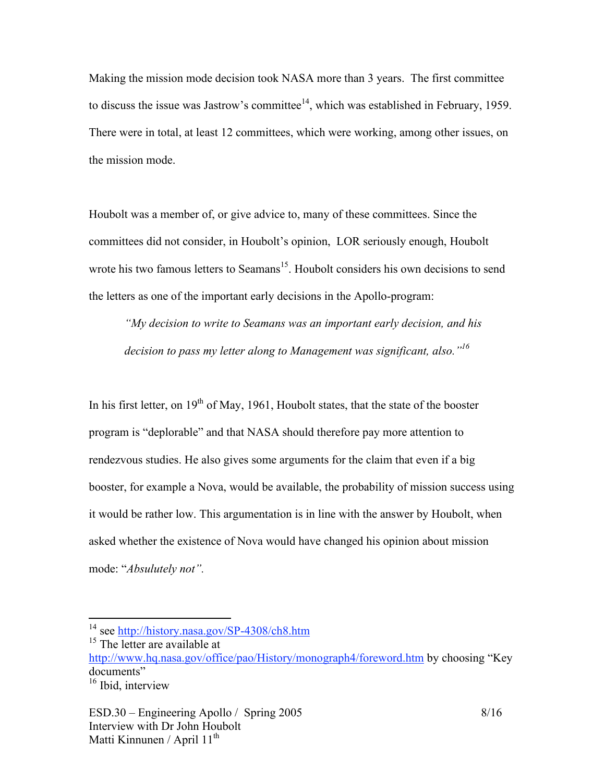Making the mission mode decision took NASA more than 3 years. The first committee to discuss the issue was Jastrow's committee<sup> $14$ </sup>, which was established in February, 1959. There were in total, at least 12 committees, which were working, among other issues, on the mission mode.

Houbolt was a member of, or give advice to, many of these committees. Since the committees did not consider, in Houbolt's opinion, LOR seriously enough, Houbolt wrote his two famous letters to Seamans<sup>15</sup>. Houbolt considers his own decisions to send the letters as one of the important early decisions in the Apollo-program:

*"My decision to write to Seamans was an important early decision, and his decision to pass my letter along to Management was significant, also."16*

In his first letter, on  $19<sup>th</sup>$  of May, 1961, Houbolt states, that the state of the booster program is "deplorable" and that NASA should therefore pay more attention to rendezvous studies. He also gives some arguments for the claim that even if a big booster, for example a Nova, would be available, the probability of mission success using it would be rather low. This argumentation is in line with the answer by Houbolt, when asked whether the existence of Nova would have changed his opinion about mission mode: "*Absulutely not".* 

<sup>&</sup>lt;sup>14</sup> see http://history.nasa.gov/SP-4308/ch8.htm

<sup>&</sup>lt;sup>15</sup> The letter are available at

http://www.hq.nasa.gov/office/pao/History/monograph4/foreword.htm by choosing "Key documents"<br><sup>16</sup> Ibid, interview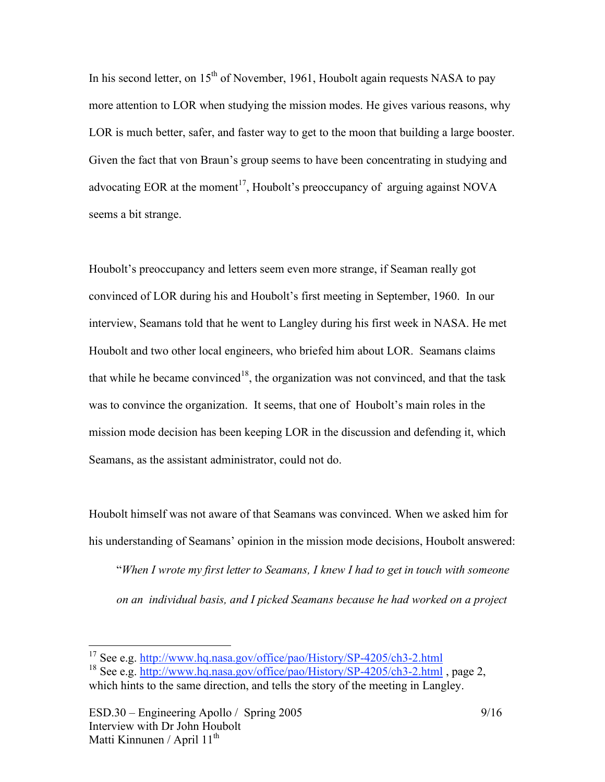In his second letter, on  $15<sup>th</sup>$  of November, 1961, Houbolt again requests NASA to pay more attention to LOR when studying the mission modes. He gives various reasons, why LOR is much better, safer, and faster way to get to the moon that building a large booster. Given the fact that von Braun's group seems to have been concentrating in studying and advocating EOR at the moment<sup>17</sup>, Houbolt's preoccupancy of arguing against NOVA seems a bit strange.

Houbolt's preoccupancy and letters seem even more strange, if Seaman really got convinced of LOR during his and Houbolt's first meeting in September, 1960. In our interview, Seamans told that he went to Langley during his first week in NASA. He met Houbolt and two other local engineers, who briefed him about LOR. Seamans claims that while he became convinced<sup>18</sup>, the organization was not convinced, and that the task was to convince the organization. It seems, that one of Houbolt's main roles in the mission mode decision has been keeping LOR in the discussion and defending it, which Seamans, as the assistant administrator, could not do.

Houbolt himself was not aware of that Seamans was convinced. When we asked him for his understanding of Seamans' opinion in the mission mode decisions, Houbolt answered:

"*When I wrote my first letter to Seamans, I knew I had to get in touch with someone on an individual basis, and I picked Seamans because he had worked on a project*

<sup>&</sup>lt;sup>17</sup> See e.g. http://www.hq.nasa.gov/office/pao/History/SP-4205/ch3-2.html

<sup>18</sup> See e.g. http://www.hq.nasa.gov/office/pao/History/SP-4205/ch3-2.html , page 2, which hints to the same direction, and tells the story of the meeting in Langley.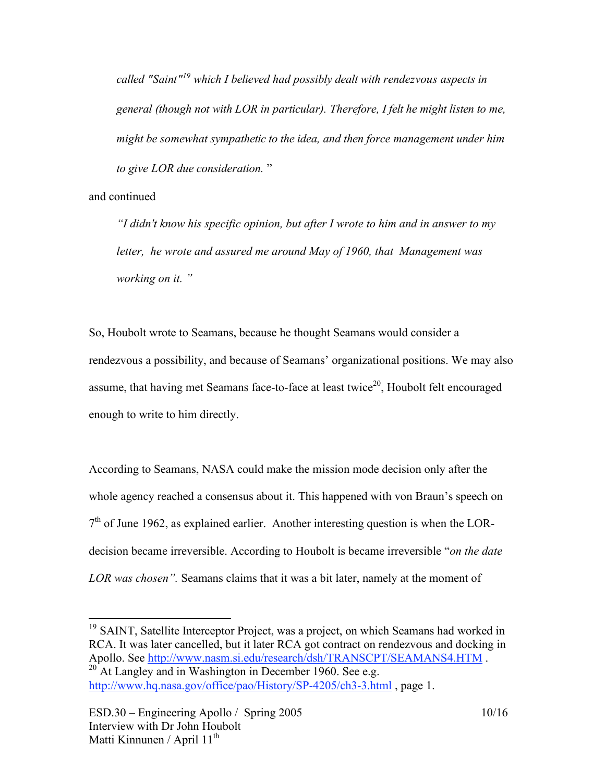*called "Saint"19 which I believed had possibly dealt with rendezvous aspects in general (though not with LOR in particular). Therefore, I felt he might listen to me, might be somewhat sympathetic to the idea, and then force management under him to give LOR due consideration.* "

and continued

*"I didn't know his specific opinion, but after I wrote to him and in answer to my letter, he wrote and assured me around May of 1960, that Management was working on it. "*

So, Houbolt wrote to Seamans, because he thought Seamans would consider a rendezvous a possibility, and because of Seamans' organizational positions. We may also assume, that having met Seamans face-to-face at least twice<sup>20</sup>, Houbolt felt encouraged enough to write to him directly.

According to Seamans, NASA could make the mission mode decision only after the whole agency reached a consensus about it. This happened with von Braun's speech on  $7<sup>th</sup>$  of June 1962, as explained earlier. Another interesting question is when the LORdecision became irreversible. According to Houbolt is became irreversible "*on the date LOR was chosen".* Seamans claims that it was a bit later, namely at the moment of

<sup>19</sup> SAINT, Satellite Interceptor Project, was a project, on which Seamans had worked in RCA. It was later cancelled, but it later RCA got contract on rendezvous and docking in Apollo. See http://www.nasm.si.edu/research/dsh/TRANSCPT/SEAMANS4.HTM . <sup>20</sup> At Langley and in Washington in December 1960. See e.g.

http://www.hq.nasa.gov/office/pao/History/SP-4205/ch3-3.html , page 1.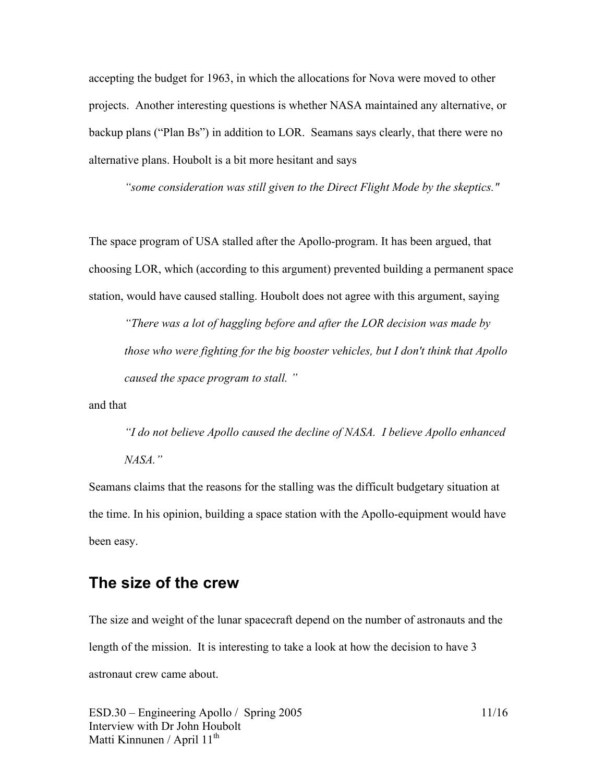accepting the budget for 1963, in which the allocations for Nova were moved to other projects. Another interesting questions is whether NASA maintained any alternative, or backup plans ("Plan Bs") in addition to LOR. Seamans says clearly, that there were no alternative plans. Houbolt is a bit more hesitant and says

*"some consideration was still given to the Direct Flight Mode by the skeptics."*

The space program of USA stalled after the Apollo-program. It has been argued, that choosing LOR, which (according to this argument) prevented building a permanent space station, would have caused stalling. Houbolt does not agree with this argument, saying

*"There was a lot of haggling before and after the LOR decision was made by those who were fighting for the big booster vehicles, but I don't think that Apollo caused the space program to stall. "*

and that

*"I do not believe Apollo caused the decline of NASA. I believe Apollo enhanced NASA."*

Seamans claims that the reasons for the stalling was the difficult budgetary situation at the time. In his opinion, building a space station with the Apollo-equipment would have been easy.

#### **The size of the crew**

The size and weight of the lunar spacecraft depend on the number of astronauts and the length of the mission. It is interesting to take a look at how the decision to have 3 astronaut crew came about.

 $ESD.30 - Engineering Apollo / Spring 2005$  11/16 Interview with Dr John Houbolt Matti Kinnunen / April 11<sup>th</sup>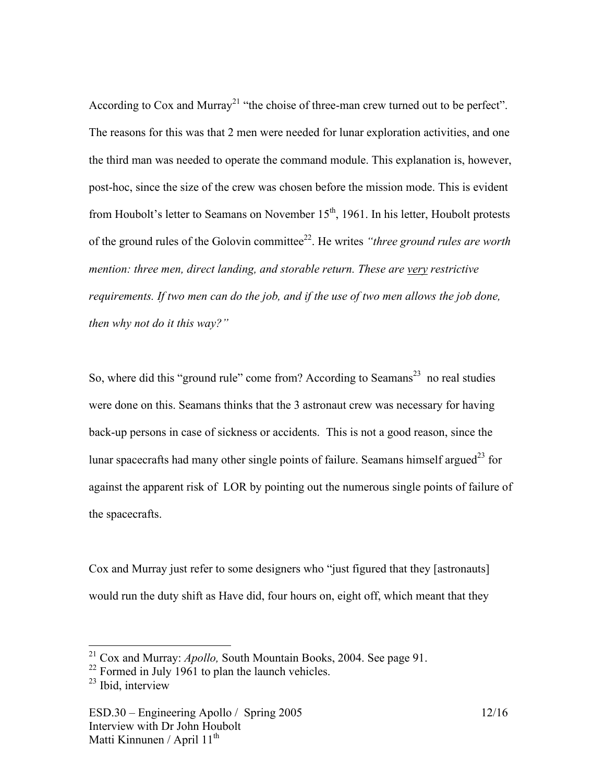According to Cox and Murray<sup>21</sup> "the choise of three-man crew turned out to be perfect". The reasons for this was that 2 men were needed for lunar exploration activities, and one the third man was needed to operate the command module. This explanation is, however, post-hoc, since the size of the crew was chosen before the mission mode. This is evident from Houbolt's letter to Seamans on November 15<sup>th</sup>, 1961. In his letter, Houbolt protests of the ground rules of the Golovin committee 22. He writes *"three ground rules are worth mention: three men, direct landing, and storable return. These are very restrictive requirements. If two men can do the job, and if the use of two men allows the job done, then why not do it this way?"*

So, where did this "ground rule" come from? According to Seamans<sup>23</sup> no real studies were done on this. Seamans thinks that the 3 astronaut crew was necessary for having back-up persons in case of sickness or accidents. This is not a good reason, since the lunar spacecrafts had many other single points of failure. Seamans himself argued<sup>23</sup> for against the apparent risk of LOR by pointing out the numerous single points of failure of the spacecrafts.

Cox and Murray just refer to some designers who "just figured that they [astronauts] would run the duty shift as Have did, four hours on, eight off, which meant that they

 <sup>21</sup> Cox and Murray: *Apollo,* South Mountain Books, 2004. See page 91.

<sup>&</sup>lt;sup>22</sup> Formed in July 1961 to plan the launch vehicles.<br><sup>23</sup> Ibid, interview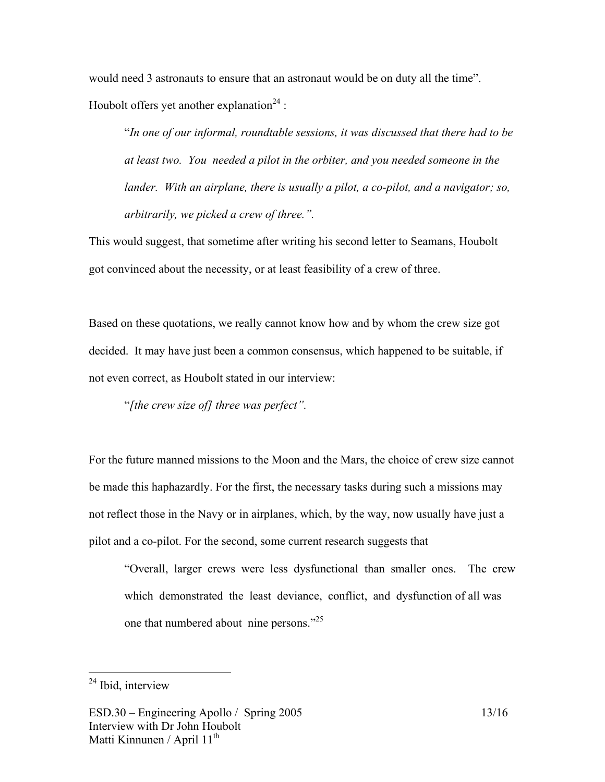would need 3 astronauts to ensure that an astronaut would be on duty all the time". Houbolt offers yet another explanation<sup>24</sup>:

"*In one of our informal, roundtable sessions, it was discussed that there had to be at least two. You needed a pilot in the orbiter, and you needed someone in the lander. With an airplane, there is usually a pilot, a co-pilot, and a navigator; so, arbitrarily, we picked a crew of three.".* 

This would suggest, that sometime after writing his second letter to Seamans, Houbolt got convinced about the necessity, or at least feasibility of a crew of three.

Based on these quotations, we really cannot know how and by whom the crew size got decided. It may have just been a common consensus, which happened to be suitable, if not even correct, as Houbolt stated in our interview:

"*[the crew size of] three was perfect".*

For the future manned missions to the Moon and the Mars, the choice of crew size cannot be made this haphazardly. For the first, the necessary tasks during such a missions may not reflect those in the Navy or in airplanes, which, by the way, now usually have just a pilot and a co-pilot. For the second, some current research suggests that

"Overall, larger crews were less dysfunctional than smaller ones. The crew which demonstrated the least deviance, conflict, and dysfunction of all was one that numbered about nine persons."<sup>25</sup>

<sup>&</sup>lt;sup>24</sup> Ibid, interview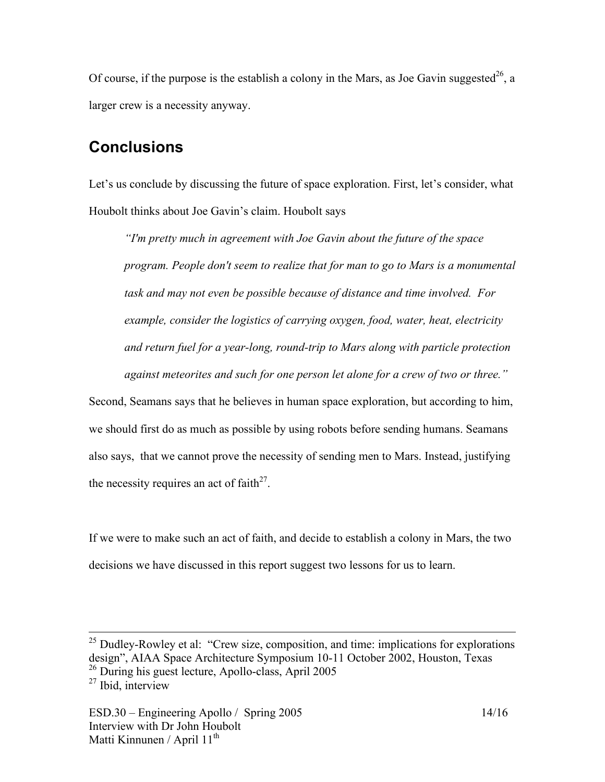Of course, if the purpose is the establish a colony in the Mars, as Joe Gavin suggested<sup>26</sup>, a larger crew is a necessity anyway.

# **Conclusions**

Let's us conclude by discussing the future of space exploration. First, let's consider, what Houbolt thinks about Joe Gavin's claim. Houbolt says

*"I'm pretty much in agreement with Joe Gavin about the future of the space program. People don't seem to realize that for man to go to Mars is a monumental task and may not even be possible because of distance and time involved. For example, consider the logistics of carrying oxygen, food, water, heat, electricity and return fuel for a year-long, round-trip to Mars along with particle protection against meteorites and such for one person let alone for a crew of two or three."*

Second, Seamans says that he believes in human space exploration, but according to him, we should first do as much as possible by using robots before sending humans. Seamans also says, that we cannot prove the necessity of sending men to Mars. Instead, justifying the necessity requires an act of faith<sup>27</sup>.

If we were to make such an act of faith, and decide to establish a colony in Mars, the two decisions we have discussed in this report suggest two lessons for us to learn.

<sup>&</sup>lt;sup>25</sup> Dudley-Rowley et al: "Crew size, composition, and time: implications for explorations design", AIAA Space Architecture Symposium 10-11 October 2002, Houston, Texas

 $26$  During his guest lecture, Apollo-class, April 2005

 $27$  Ibid, interview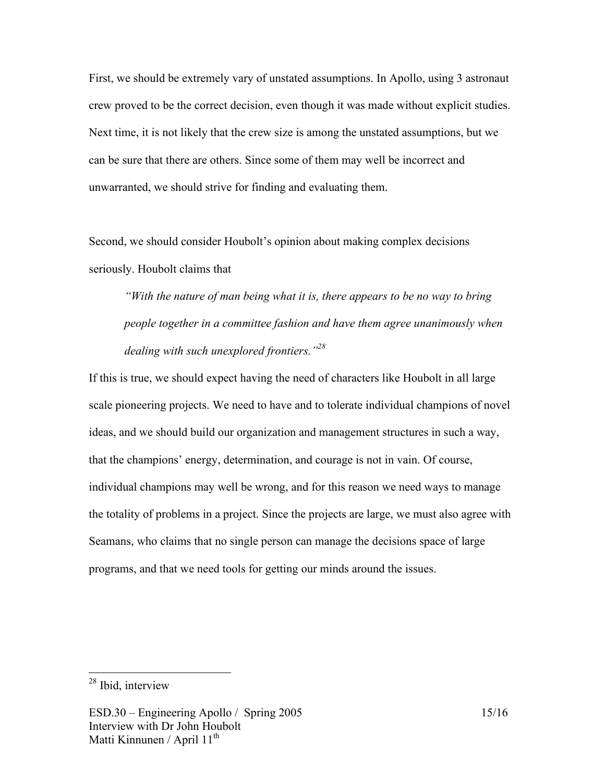First, we should be extremely vary of unstated assumptions. In Apollo, using 3 astronaut crew proved to be the correct decision, even though it was made without explicit studies. Next time, it is not likely that the crew size is among the unstated assumptions, but we can be sure that there are others. Since some of them may well be incorrect and unwarranted, we should strive for finding and evaluating them.

Second, we should consider Houbolt's opinion about making complex decisions seriously. Houbolt claims that

*"With the nature of man being what it is, there appears to be no way to bring people together in a committee fashion and have them agree unanimously when dealing with such unexplored frontiers."28*

If this is true, we should expect having the need of characters like Houbolt in all large scale pioneering projects. We need to have and to tolerate individual champions of novel ideas, and we should build our organization and management structures in such a way, that the champions' energy, determination, and courage is not in vain. Of course, individual champions may well be wrong, and for this reason we need ways to manage the totality of problems in a project. Since the projects are large, we must also agree with Seamans, who claims that no single person can manage the decisions space of large programs, and that we need tools for getting our minds around the issues.

 <sup>28</sup> Ibid, interview